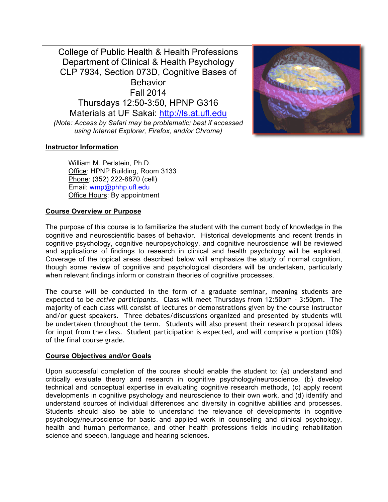College of Public Health & Health Professions Department of Clinical & Health Psychology CLP 7934, Section 073D, Cognitive Bases of **Behavior** Fall 2014 Thursdays 12:50-3:50, HPNP G316 Materials at UF Sakai: http://ls.at.ufl.edu

*(Note: Access by Safari may be problematic; best if accessed using Internet Explorer, Firefox, and/or Chrome)*



William M. Perlstein, Ph.D. Office: HPNP Building, Room 3133 Phone: (352) 222-8870 (cell) Email: wmp@phhp.ufl.edu Office Hours: By appointment

# **Course Overview or Purpose**

The purpose of this course is to familiarize the student with the current body of knowledge in the cognitive and neuroscientific bases of behavior. Historical developments and recent trends in cognitive psychology, cognitive neuropsychology, and cognitive neuroscience will be reviewed and applications of findings to research in clinical and health psychology will be explored. Coverage of the topical areas described below will emphasize the study of normal cognition, though some review of cognitive and psychological disorders will be undertaken, particularly when relevant findings inform or constrain theories of cognitive processes.

The course will be conducted in the form of a graduate seminar, meaning students are expected to be *active participants*. Class will meet Thursdays from 12:50pm – 3:50pm. The majority of each class will consist of lectures or demonstrations given by the course instructor and/or guest speakers. Three debates/discussions organized and presented by students will be undertaken throughout the term. Students will also present their research proposal ideas for input from the class. Student participation is expected, and will comprise a portion (10%) of the final course grade.

#### **Course Objectives and/or Goals**

Upon successful completion of the course should enable the student to: (a) understand and critically evaluate theory and research in cognitive psychology/neuroscience, (b) develop technical and conceptual expertise in evaluating cognitive research methods, (c) apply recent developments in cognitive psychology and neuroscience to their own work, and (d) identify and understand sources of individual differences and diversity in cognitive abilities and processes. Students should also be able to understand the relevance of developments in cognitive psychology/neuroscience for basic and applied work in counseling and clinical psychology, health and human performance, and other health professions fields including rehabilitation science and speech, language and hearing sciences.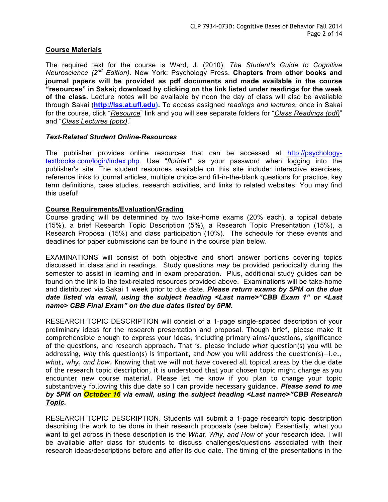## **Course Materials**

The required text for the course is Ward, J. (2010). *The Student's Guide to Cognitive Neuroscience (2nd Edition)*. New York: Psychology Press. **Chapters from other books and journal papers will be provided as pdf documents and made available in the course "resources" in Sakai; download by clicking on the link listed under readings for the week of the class.** Lecture notes will be available by noon the day of class will also be available through Sakai (**http://lss.at.ufl.edu).** To access assigned *readings and lectures*, once in Sakai for the course, click "*Resource*" link and you will see separate folders for "*Class Readings (pdf)*" and "*Class Lectures (pptx)*."

#### *Text-Related Student Online-Resources*

The publisher provides online resources that can be accessed at http://psychologytextbooks.com/login/index.php. Use "*florida1*" as your password when logging into the publisher's site. The student resources available on this site include: interactive exercises, reference links to journal articles, multiple choice and fill-in-the-blank questions for practice, key term definitions, case studies, research activities, and links to related websites. You may find this useful!

## **Course Requirements/Evaluation/Grading**

Course grading will be determined by two take-home exams (20% each), a topical debate (15%), a brief Research Topic Description (5%), a Research Topic Presentation (15%), a Research Proposal (15%) and class participation (10%). The schedule for these events and deadlines for paper submissions can be found in the course plan below.

EXAMINATIONS will consist of both objective and short answer portions covering topics discussed in class and in readings. Study questions *may* be provided periodically during the semester to assist in learning and in exam preparation. Plus, additional study guides can be found on the link to the text-related resources provided above. Examinations will be take-home and distributed via Sakai 1 week prior to due date. *Please return exams by 5PM on the due date listed via email, using the subject heading <Last name>"CBB Exam 1" or <Last name> CBB Final Exam" on the due dates listed by 5PM.*

RESEARCH TOPIC DESCRIPTION will consist of a 1-page single-spaced description of your preliminary ideas for the research presentation and proposal. Though brief, please make it comprehensible enough to express your ideas, including primary aims/questions, significance of the questions, and research approach. That is, please include *what* question(s) you will be addressing, *why* this question(s) is important, and *how* you will address the question(s)—i.e., *what, why, and how*. Knowing that we will not have covered all topical areas by the due date of the research topic description, it is understood that your chosen topic might change as you encounter new course material. Please let me know if you plan to change your topic substantively following this due date so I can provide necessary guidance. *Please send to me by 5PM on October 16 via email, using the subject heading <Last name>"CBB Research Topic.*

RESEARCH TOPIC DESCRIPTION. Students will submit a 1-page research topic description describing the work to be done in their research proposals (see below). Essentially, what you want to get across in these description is the *What, Why, and How* of your research idea. I will be available after class for students to discuss challenges/questions associated with their research ideas/descriptions before and after its due date. The timing of the presentations in the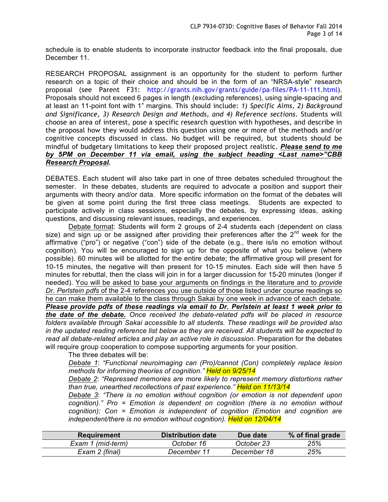schedule is to enable students to incorporate instructor feedback into the final proposals, due December 11.

RESEARCH PROPOSAL assignment is an opportunity for the student to perform further research on a topic of their choice and should be in the form of an "NRSA-style" research proposal (see Parent F31: http://grants.nih.gov/grants/guide/pa-files/PA-11-111.html). Proposals should not exceed 6 pages in length (excluding references), using single-spacing and at least an 11-point font with 1" margins. This should include: *1) Specific Aims, 2) Background and Significance, 3) Research Design and Methods, and 4) Reference sections*. Students will choose an area of interest, pose a specific research question with hypotheses, and describe in the proposal how they would address this question using one or more of the methods and/or cognitive concepts discussed in class. No budget will be required, but students should be mindful of budgetary limitations to keep their proposed project realistic. *Please send to me by 5PM on December 11 via email, using the subject heading <Last name>"CBB Research Proposal.*

DEBATES. Each student will also take part in one of three debates scheduled throughout the semester. In these debates, students are required to advocate a position and support their arguments with theory and/or data. More specific information on the format of the debates will be given at some point during the first three class meetings. Students are expected to participate actively in class sessions, especially the debates, by expressing ideas, asking questions, and discussing relevant issues, readings, and experiences.

Debate format: Students will form 2 groups of 2-4 students each (dependent on class size) and sign up or be assigned after providing their preferences after the  $2^{nd}$  week for the affirmative ("pro") or negative ("con") side of the debate (e.g., there is/is no emotion without cognition). You will be encouraged to sign up for the opposite of what you believe (where possible). 60 minutes will be allotted for the entire debate; the affirmative group will present for 10-15 minutes, the negative will then present for 10-15 minutes. Each side will then have 5 minutes for rebuttal, then the class will join in for a larger discussion for 15-20 minutes (longer if needed). You will be asked to base your arguments on findings in the literature and to *provide Dr. Perlstein pdfs* of the 2-4 references you use outside of those listed under course readings so he can make them available to the class through Sakai by one week in advance of each debate. *Please provide pdfs of these readings via email to Dr. Perlstein at least 1 week prior to the date of the debate. Once received the debate-related pdfs will be placed in resource folders available through Sakai accessible to all students. These readings will be provided also in the updated reading reference list below as they are received. All students will be expected to read all debate-related articles and play an active role in discussion.* Preparation for the debates will require group cooperation to compose supporting arguments for your position.

The three debates will be:

*Debate 1*: *"Functional neuroimaging can (Pro)/cannot (Con) completely replace lesion methods for informing theories of cognition." Held on 9/25/14*

*Debate 2*: *"Repressed memories are more likely to represent memory distortions rather than true, unearthed recollections of past experience." Held on 11/13/14*

*Debate 3*: *"There is no emotion without cognition (or emotion is not dependent upon cognition)." Pro = Emotion is dependent on cognition (there is no emotion without cognition); Con = Emotion is independent of cognition (Emotion and cognition are independent/there is no emotion without cognition). Held on 12/04/14*

| Requirement       | <b>Distribution date</b> | Due date    | % of final grade |
|-------------------|--------------------------|-------------|------------------|
| Exam 1 (mid-term) | October 16               | October 23  | 25%              |
| Exam 2 (final)    | December 11              | December 18 | 25%              |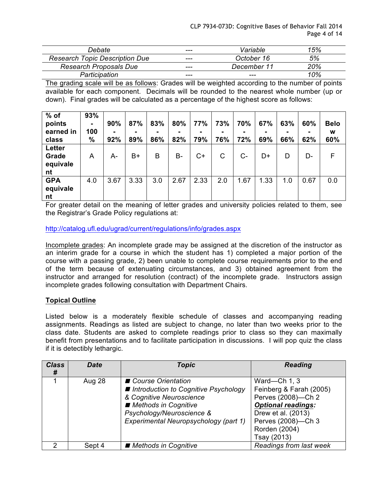| Debate                                | ---     | Variable    | 15% |
|---------------------------------------|---------|-------------|-----|
| <b>Research Topic Description Due</b> | ---     | October 16  | 5%  |
| <b>Research Proposals Due</b>         | $- - -$ | December 11 | 20% |
| Participation                         | ---     | ---         | 10% |

The grading scale will be as follows: Grades will be weighted according to the number of points available for each component. Decimals will be rounded to the nearest whole number (up or down). Final grades will be calculated as a percentage of the highest score as follows:

| $%$ of<br>points<br>earned in<br>class | 93%<br>100<br>$\%$ | 90%<br>$\blacksquare$<br>92% | 87%<br>89% | 83%<br>86% | 80%<br>82% | 77%<br>79% | 73%<br>۰<br>76% | 70%<br>72% | 67%<br>69% | 63%<br>۰<br>66% | 60%<br>62% | <b>Belo</b><br>W<br>60% |
|----------------------------------------|--------------------|------------------------------|------------|------------|------------|------------|-----------------|------------|------------|-----------------|------------|-------------------------|
| Letter<br>Grade<br>equivale<br>nt      | A                  | А-                           | $B+$       | B          | B-         | $C+$       | C               | $C -$      | D+         | D               | D-         | F                       |
| <b>GPA</b><br>equivale<br>nt           | 4.0                | 3.67                         | 3.33       | 3.0        | 2.67       | 2.33       | 2.0             | 1.67       | 1.33       | 1.0             | 0.67       | 0.0                     |

For greater detail on the meaning of letter grades and university policies related to them, see the Registrar's Grade Policy regulations at:

# http://catalog.ufl.edu/ugrad/current/regulations/info/grades.aspx

Incomplete grades: An incomplete grade may be assigned at the discretion of the instructor as an interim grade for a course in which the student has 1) completed a major portion of the course with a passing grade, 2) been unable to complete course requirements prior to the end of the term because of extenuating circumstances, and 3) obtained agreement from the instructor and arranged for resolution (contract) of the incomplete grade. Instructors assign incomplete grades following consultation with Department Chairs.

# **Topical Outline**

Listed below is a moderately flexible schedule of classes and accompanying reading assignments. Readings as listed are subject to change, no later than two weeks prior to the class date. Students are asked to complete readings prior to class so they can maximally benefit from presentations and to facilitate participation in discussions. I will pop quiz the class if it is detectibly lethargic.

| <b>Class</b><br># | <b>Date</b> | Topic                                                                                                                                                                                    | <b>Reading</b>                                                                                                                                                         |
|-------------------|-------------|------------------------------------------------------------------------------------------------------------------------------------------------------------------------------------------|------------------------------------------------------------------------------------------------------------------------------------------------------------------------|
|                   | Aug 28      | ■ Course Orientation<br>■ Introduction to Cognitive Psychology<br>& Cognitive Neuroscience<br>Methods in Cognitive<br>Psychology/Neuroscience &<br>Experimental Neuropsychology (part 1) | Ward-Ch 1, 3<br>Feinberg & Farah (2005)<br>Perves (2008)-Ch 2<br><b>Optional readings:</b><br>Drew et al. (2013)<br>Perves (2008)-Ch 3<br>Rorden (2004)<br>Tsay (2013) |
| $\mathcal{P}$     | Sept 4      | ■ Methods in Cognitive                                                                                                                                                                   | Readings from last week                                                                                                                                                |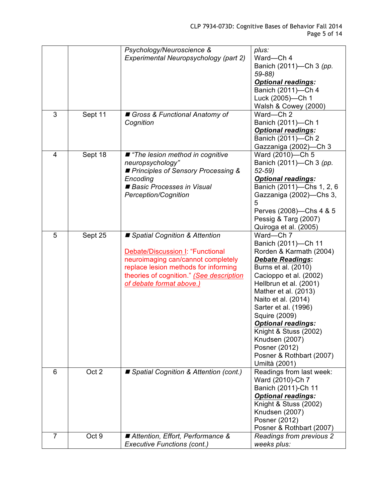|                |         | Psychology/Neuroscience &                                                | plus:                                            |
|----------------|---------|--------------------------------------------------------------------------|--------------------------------------------------|
|                |         | Experimental Neuropsychology (part 2)                                    | Ward-Ch 4                                        |
|                |         |                                                                          | Banich (2011)-Ch 3 (pp.                          |
|                |         |                                                                          | $59 - 88$                                        |
|                |         |                                                                          | <b>Optional readings:</b>                        |
|                |         |                                                                          | Banich (2011)-Ch 4                               |
|                |         |                                                                          | Luck (2005)-Ch 1                                 |
|                |         |                                                                          | Walsh & Cowey (2000)                             |
| 3              | Sept 11 | Gross & Functional Anatomy of                                            | Ward-Ch 2                                        |
|                |         | Cognition                                                                | Banich (2011)-Ch 1                               |
|                |         |                                                                          | <b>Optional readings:</b>                        |
|                |         |                                                                          | Banich (2011)-Ch 2                               |
|                |         |                                                                          | Gazzaniga (2002)-Ch 3                            |
| 4              | Sept 18 | ■ "The lesion method in cognitive                                        | Ward (2010)-Ch 5                                 |
|                |         | neuropsychology"                                                         | Banich (2011)-Ch 3 (pp.                          |
|                |         | ■ Principles of Sensory Processing &                                     | $52 - 59$                                        |
|                |         | Encoding                                                                 | <b>Optional readings:</b>                        |
|                |         | Basic Processes in Visual                                                | Banich (2011)-Chs 1, 2, 6                        |
|                |         | <b>Perception/Cognition</b>                                              | Gazzaniga (2002)-Chs 3,                          |
|                |         |                                                                          | 5                                                |
|                |         |                                                                          | Perves (2008)-Chs 4 & 5                          |
|                |         |                                                                          | Pessig & Targ (2007)                             |
|                |         |                                                                          | Quiroga et al. (2005)                            |
| 5              | Sept 25 | ■ Spatial Cognition & Attention                                          | Ward-Ch 7                                        |
|                |         |                                                                          | Banich (2011)-Ch 11                              |
|                |         | Debate/Discussion I: "Functional                                         | Rorden & Karmath (2004)                          |
|                |         | neuroimaging can/cannot completely                                       | <b>Debate Readings:</b>                          |
|                |         | replace lesion methods for informing                                     | Burns et al. (2010)                              |
|                |         | theories of cognition." (See description                                 | Cacioppo et al. (2002)                           |
|                |         | of debate format above.)                                                 | Hellbrun et al. (2001)                           |
|                |         |                                                                          | Mather et al. (2013)                             |
|                |         |                                                                          | Naito et al. (2014)                              |
|                |         |                                                                          | Sarter et al. (1996)                             |
|                |         |                                                                          | Squire (2009)                                    |
|                |         |                                                                          | <b>Optional readings:</b>                        |
|                |         |                                                                          | Knight & Stuss (2002)                            |
|                |         |                                                                          | Knudsen (2007)                                   |
|                |         |                                                                          | Posner (2012)                                    |
|                |         |                                                                          | Posner & Rothbart (2007)                         |
|                |         |                                                                          | Umiltà (2001)                                    |
| 6              | Oct 2   | ■ Spatial Cognition & Attention (cont.)                                  | Readings from last week:                         |
|                |         |                                                                          | Ward (2010)-Ch 7                                 |
|                |         |                                                                          | Banich (2011)-Ch 11<br><b>Optional readings:</b> |
|                |         |                                                                          | Knight & Stuss (2002)                            |
|                |         |                                                                          | Knudsen (2007)                                   |
|                |         |                                                                          |                                                  |
|                |         |                                                                          | Posner (2012)<br>Posner & Rothbart (2007)        |
| $\overline{7}$ | Oct 9   |                                                                          |                                                  |
|                |         | ■ Attention, Effort, Performance &<br><b>Executive Functions (cont.)</b> | <b>Readings from previous 2</b><br>weeks plus:   |
|                |         |                                                                          |                                                  |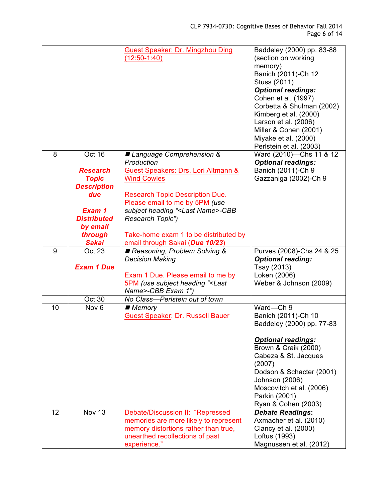|    |                              | <b>Guest Speaker: Dr. Mingzhou Ding</b><br>$(12:50-1:40)$                           | Baddeley (2000) pp. 83-88<br>(section on working<br>memory)<br>Banich (2011)-Ch 12<br>Stuss (2011)<br><b>Optional readings:</b><br>Cohen et al. (1997)<br>Corbetta & Shulman (2002)<br>Kimberg et al. (2000)<br>Larson et al. (2006)<br>Miller & Cohen (2001)<br>Miyake et al. (2000)<br>Perlstein et al. (2003) |
|----|------------------------------|-------------------------------------------------------------------------------------|------------------------------------------------------------------------------------------------------------------------------------------------------------------------------------------------------------------------------------------------------------------------------------------------------------------|
| 8  | Oct 16                       | ■ Language Comprehension &<br>Production                                            | Ward (2010)-Chs 11 & 12<br><b>Optional readings:</b>                                                                                                                                                                                                                                                             |
|    | <b>Research</b>              | Guest Speakers: Drs. Lori Altmann &                                                 | Banich (2011)-Ch 9                                                                                                                                                                                                                                                                                               |
|    | <b>Topic</b>                 | <b>Wind Cowles</b>                                                                  | Gazzaniga (2002)-Ch 9                                                                                                                                                                                                                                                                                            |
|    | <b>Description</b><br>due    | <b>Research Topic Description Due.</b>                                              |                                                                                                                                                                                                                                                                                                                  |
|    |                              | Please email to me by 5PM (use                                                      |                                                                                                                                                                                                                                                                                                                  |
|    | Exam 1<br><b>Distributed</b> | subject heading " <last name="">-CBB<br/>Research Topic")</last>                    |                                                                                                                                                                                                                                                                                                                  |
|    | by email                     |                                                                                     |                                                                                                                                                                                                                                                                                                                  |
|    | through                      | Take-home exam 1 to be distributed by                                               |                                                                                                                                                                                                                                                                                                                  |
| 9  | <b>Sakai</b><br>Oct 23       | email through Sakai (Due 10/23)                                                     | Purves (2008)-Chs 24 & 25                                                                                                                                                                                                                                                                                        |
|    |                              | Reasoning, Problem Solving &<br><b>Decision Making</b>                              | <b>Optional reading:</b>                                                                                                                                                                                                                                                                                         |
|    | <b>Exam 1 Due</b>            |                                                                                     | Tsay (2013)                                                                                                                                                                                                                                                                                                      |
|    |                              | Exam 1 Due. Please email to me by                                                   | Loken (2006)                                                                                                                                                                                                                                                                                                     |
|    |                              |                                                                                     |                                                                                                                                                                                                                                                                                                                  |
|    |                              | 5PM (use subject heading " <last< th=""><th>Weber &amp; Johnson (2009)</th></last<> | Weber & Johnson (2009)                                                                                                                                                                                                                                                                                           |
|    | Oct 30                       | Name>-CBB Exam 1")<br>No Class-Perlstein out of town                                |                                                                                                                                                                                                                                                                                                                  |
| 10 | Nov <sub>6</sub>             | $\blacksquare$ Memory                                                               | Ward-Ch 9                                                                                                                                                                                                                                                                                                        |
|    |                              | <b>Guest Speaker: Dr. Russell Bauer</b>                                             | Banich (2011)-Ch 10<br>Baddeley (2000) pp. 77-83                                                                                                                                                                                                                                                                 |
|    |                              |                                                                                     |                                                                                                                                                                                                                                                                                                                  |
|    |                              |                                                                                     | <b>Optional readings:</b><br>Brown & Craik (2000)                                                                                                                                                                                                                                                                |
|    |                              |                                                                                     | Cabeza & St. Jacques                                                                                                                                                                                                                                                                                             |
|    |                              |                                                                                     | (2007)<br>Dodson & Schacter (2001)                                                                                                                                                                                                                                                                               |
|    |                              |                                                                                     | Johnson (2006)                                                                                                                                                                                                                                                                                                   |
|    |                              |                                                                                     | Moscovitch et al. (2006)                                                                                                                                                                                                                                                                                         |
|    |                              |                                                                                     | Parkin (2001)<br>Ryan & Cohen (2003)                                                                                                                                                                                                                                                                             |
| 12 | <b>Nov 13</b>                | Debate/Discussion II: "Repressed                                                    | <b>Debate Readings:</b>                                                                                                                                                                                                                                                                                          |
|    |                              | memories are more likely to represent                                               | Axmacher et al. (2010)                                                                                                                                                                                                                                                                                           |
|    |                              | memory distortions rather than true,<br>unearthed recollections of past             | Clancy et al. (2000)<br>Loftus (1993)                                                                                                                                                                                                                                                                            |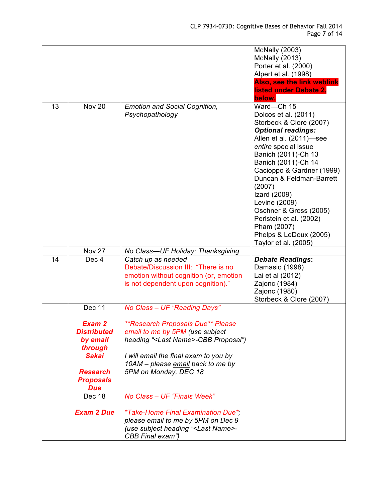|    |                                                                     |                                                                                                                                                                                                                      | <b>McNally (2003)</b><br>McNally (2013)<br>Porter et al. (2000)<br>Alpert et al. (1998)<br>Also, see the link weblink<br>listed under Debate 2,<br>below.                                                                                                                                                                                                                                                             |
|----|---------------------------------------------------------------------|----------------------------------------------------------------------------------------------------------------------------------------------------------------------------------------------------------------------|-----------------------------------------------------------------------------------------------------------------------------------------------------------------------------------------------------------------------------------------------------------------------------------------------------------------------------------------------------------------------------------------------------------------------|
| 13 | <b>Nov 20</b>                                                       | <b>Emotion and Social Cognition,</b><br>Psychopathology                                                                                                                                                              | Ward-Ch 15<br>Dolcos et al. (2011)<br>Storbeck & Clore (2007)<br><b>Optional readings:</b><br>Allen et al. (2011)-see<br>entire special issue<br>Banich (2011)-Ch 13<br>Banich (2011)-Ch 14<br>Cacioppo & Gardner (1999)<br>Duncan & Feldman-Barrett<br>(2007)<br>Izard (2009)<br>Levine (2009)<br>Oschner & Gross (2005)<br>Perlstein et al. (2002)<br>Pham (2007)<br>Phelps & LeDoux (2005)<br>Taylor et al. (2005) |
|    | Nov 27                                                              | No Class-UF Holiday; Thanksgiving                                                                                                                                                                                    |                                                                                                                                                                                                                                                                                                                                                                                                                       |
| 14 | Dec <sub>4</sub>                                                    | Catch up as needed<br>Debate/Discussion III: "There is no<br>emotion without cognition (or, emotion<br>is not dependent upon cognition)."                                                                            | <b>Debate Readings:</b><br>Damasio (1998)<br>Lai et al (2012)<br>Zajonc (1984)<br>Zajonc (1980)<br>Storbeck & Clore (2007)                                                                                                                                                                                                                                                                                            |
|    | Dec 11                                                              | No Class - UF "Reading Days"                                                                                                                                                                                         |                                                                                                                                                                                                                                                                                                                                                                                                                       |
|    | Exam 2<br><b>Distributed</b><br>by email<br>through<br><b>Sakai</b> | <i><b>**Research Proposals Due** Please</b></i><br>email to me by 5PM (use subject<br>heading " <last name="">-CBB Proposal")<br/>I will email the final exam to you by<br/>10AM - please email back to me by</last> |                                                                                                                                                                                                                                                                                                                                                                                                                       |
|    | <b>Research</b><br><b>Proposals</b><br><b>Due</b>                   | 5PM on Monday, DEC 18                                                                                                                                                                                                |                                                                                                                                                                                                                                                                                                                                                                                                                       |
|    | Dec 18                                                              | No Class - UF "Finals Week"                                                                                                                                                                                          |                                                                                                                                                                                                                                                                                                                                                                                                                       |
|    | <b>Exam 2 Due</b>                                                   | <i>*Take-Home Final Examination Due*;</i><br>please email to me by 5PM on Dec 9<br>(use subject heading " <last name="">-<br/>CBB Final exam")</last>                                                                |                                                                                                                                                                                                                                                                                                                                                                                                                       |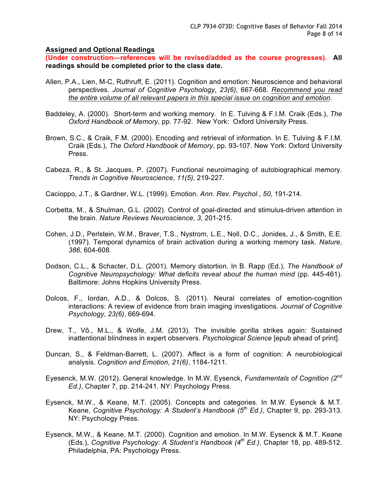#### **Assigned and Optional Readings**

**(Under construction—references will be revised/added as the course progresses). All readings should be completed prior to the class date.**

- Allen, P.A., Lien, M-C, Ruthruff, E. (2011). Cognition and emotion: Neuroscience and behavioral perspectives. *Journal of Cognitive Psychology*, *23(6)*, 667-668. *Recommend you read the entire volume of all relevant papers in this special issue on cognition and emotion*.
- Baddeley, A. (2000). Short-term and working memory. In E. Tulving & F.I.M. Craik (Eds.), *The Oxford Handbook of Memory*, pp. 77-92. New York: Oxford University Press.
- Brown, S.C., & Craik, F.M. (2000). Encoding and retrieval of information. In E. Tulving & F.I.M. Craik (Eds.), *The Oxford Handbook of Memory*, pp. 93-107. New York: Oxford University Press.
- Cabeza, R., & St. Jacques, P. (2007). Functional neuroimaging of autobiographical memory. *Trends in Cognitive Neuroscience*, *11(5)*, 219-227.
- Cacioppo, J.T., & Gardner, W.L. (1999). Emotion. *Ann. Rev. Psychol.*, *50*, 191-214.
- Corbetta, M., & Shulman, G.L. (2002). Control of goal-directed and stimulus-driven attention in the brain. *Nature Reviews Neuroscience*, *3*, 201-215.
- Cohen, J.D., Perlstein, W.M., Braver, T.S., Nystrom, L.E., Noll, D.C., Jonides, J., & Smith, E.E. (1997). Temporal dynamics of brain activation during a working memory task. *Nature*, *386*, 604-608*.*
- Dodson, C.L., & Schacter, D.L. (2001). Memory distortion. In B. Rapp (Ed.), *The Handbook of Cognitive Neuropsychology: What deficits reveal about the human mind* (pp. 445-461). Baltimore: Johns Hopkins University Press.
- Dolcos, F., Iordan, A.D., & Dolcos, S. (2011). Neural correlates of emotion-cognition interactions: A review of evidence from brain imaging investigations. *Journal of Cognitive Psychology*, *23(6)*, 669-694.
- Drew, T., Võ., M.L., & Wolfe, J.M. (2013). The invisible gorilla strikes again: Sustained inattentional blindness in expert observers. *Psychological Science* [epub ahead of print].
- Duncan, S., & Feldman-Barrett, L. (2007). Affect is a form of cognition: A neurobiological analysis. *Cognition and Emotion*, *21(6)*, 1184-1211.
- Eyesenck, M.W. (2012). General knowledge. In M.W. Eysenck, *Fundamentals of Cognition (2nd Ed.)*, Chapter 7, pp. 214-241. NY: Psychology Press.
- Eysenck, M.W., & Keane, M.T. (2005). Concepts and categories. In M.W. Eysenck & M.T. Keane, *Cognitive Psychology: A Student's Handbook (5th Ed.)*, Chapter 9, pp. 293-313. NY: Psychology Press.
- Eysenck, M.W., & Keane, M.T. (2000). Cognition and emotion. In M.W. Eysenck & M.T. Keane (Eds.), *Cognitive Psychology: A Student's Handbook (4th Ed.)*, Chapter 18, pp. 489-512. Philadelphia, PA: Psychology Press.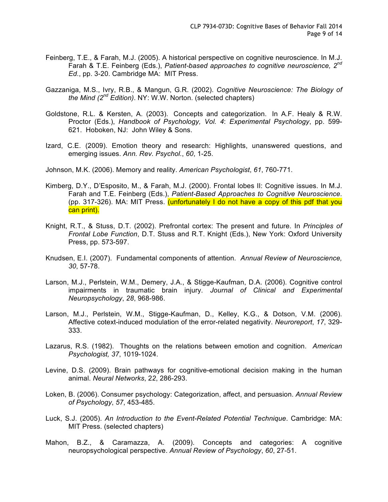- Feinberg, T.E., & Farah, M.J. (2005). A historical perspective on cognitive neuroscience. In M.J. Farah & T.E. Feinberg (Eds.), *Patient-based approaches to cognitive neuroscience, 2nd Ed.*, pp. 3-20. Cambridge MA: MIT Press.
- Gazzaniga, M.S., Ivry, R.B., & Mangun, G.R. (2002). *Cognitive Neuroscience: The Biology of the Mind (2nd Edition)*. NY: W.W. Norton. (selected chapters)
- Goldstone, R.L. & Kersten, A. (2003). Concepts and categorization. In A.F. Healy & R.W. Proctor (Eds.), *Handbook of Psychology, Vol. 4*: *Experimental Psychology*, pp. 599- 621. Hoboken, NJ: John Wiley & Sons.
- Izard, C.E. (2009). Emotion theory and research: Highlights, unanswered questions, and emerging issues. *Ann. Rev. Psychol.*, *60*, 1-25.
- Johnson, M.K. (2006). Memory and reality. *American Psychologist*, *61*, 760-771.
- Kimberg, D.Y., D'Esposito, M., & Farah, M.J. (2000). Frontal lobes II: Cognitive issues. In M.J. Farah and T.E. Feinberg (Eds.), *Patient-Based Approaches to Cognitive Neuroscience*. (pp. 317-326). MA: MIT Press. (unfortunately I do not have a copy of this pdf that you can print).
- Knight, R.T., & Stuss, D.T. (2002). Prefrontal cortex: The present and future. In *Principles of Frontal Lobe Function*, D.T. Stuss and R.T. Knight (Eds.), New York: Oxford University Press, pp. 573-597.
- Knudsen, E.I. (2007). Fundamental components of attention. *Annual Review of Neuroscience, 30*, 57-78.
- Larson, M.J., Perlstein, W.M., Demery, J.A., & Stigge-Kaufman, D.A. (2006). Cognitive control impairments in traumatic brain injury. *Journal of Clinical and Experimental Neuropsychology*, *28*, 968-986.
- Larson, M.J., Perlstein, W.M., Stigge-Kaufman, D., Kelley, K.G., & Dotson, V.M. (2006). Affective cotext-induced modulation of the error-related negativity. *Neuroreport*, *17*, 329- 333.
- Lazarus, R.S. (1982). Thoughts on the relations between emotion and cognition. *American Psychologist, 37*, 1019-1024.
- Levine, D.S. (2009). Brain pathways for cognitive-emotional decision making in the human animal. *Neural Networks*, 2*2*, 286-293.
- Loken, B. (2006). Consumer psychology: Categorization, affect, and persuasion. *Annual Review of Psychology*, *57*, 453-485.
- Luck, S.J. (2005). *An Introduction to the Event-Related Potential Technique*. Cambridge: MA: MIT Press. (selected chapters)
- Mahon, B.Z., & Caramazza, A. (2009). Concepts and categories: A cognitive neuropsychological perspective. *Annual Review of Psychology*, *60*, 27-51.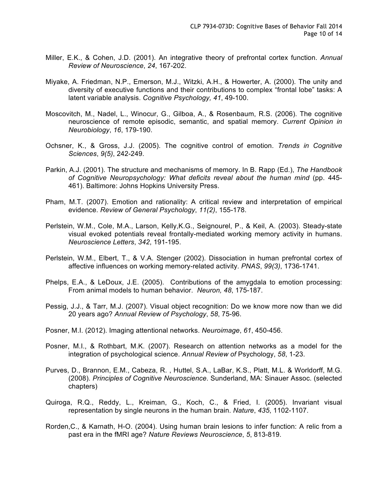- Miller, E.K., & Cohen, J.D. (2001). An integrative theory of prefrontal cortex function. *Annual Review of Neuroscience*, *24*, 167-202.
- Miyake, A. Friedman, N.P., Emerson, M.J., Witzki, A.H., & Howerter, A. (2000). The unity and diversity of executive functions and their contributions to complex "frontal lobe" tasks: A latent variable analysis. *Cognitive Psychology, 41*, 49-100.
- Moscovitch, M., Nadel, L., Winocur, G., Gilboa, A., & Rosenbaum, R.S. (2006). The cognitive neuroscience of remote episodic, semantic, and spatial memory. *Current Opinion in Neurobiology*, *16*, 179-190.
- Ochsner, K., & Gross, J.J. (2005). The cognitive control of emotion. *Trends in Cognitive Sciences*, *9(5)*, 242-249.
- Parkin, A.J. (2001). The structure and mechanisms of memory. In B. Rapp (Ed.), *The Handbook of Cognitive Neuropsychology: What deficits reveal about the human mind* (pp. 445- 461). Baltimore: Johns Hopkins University Press.
- Pham, M.T. (2007). Emotion and rationality: A critical review and interpretation of empirical evidence. *Review of General Psychology*, *11(2)*, 155-178.
- Perlstein, W.M., Cole, M.A., Larson, Kelly,K.G., Seignourel, P., & Keil, A. (2003). Steady-state visual evoked potentials reveal frontally-mediated working memory activity in humans. *Neuroscience Letters*, *342*, 191-195.
- Perlstein, W.M., Elbert, T., & V.A. Stenger (2002). Dissociation in human prefrontal cortex of affective influences on working memory-related activity. *PNAS*, *99(3)*, 1736-1741.
- Phelps, E.A., & LeDoux, J.E. (2005). Contributions of the amygdala to emotion processing: From animal models to human behavior. *Neuron, 48*, 175-187.
- Pessig, J.J., & Tarr, M.J. (2007). Visual object recognition: Do we know more now than we did 20 years ago? *Annual Review of Psychology*, *58*, 75-96.
- Posner, M.I. (2012). Imaging attentional networks. *Neuroimage*, *61*, 450-456.
- Posner, M.I., & Rothbart, M.K. (2007). Research on attention networks as a model for the integration of psychological science. *Annual Review of* Psychology, *58*, 1-23.
- Purves, D., Brannon, E.M., Cabeza, R. , Huttel, S.A., LaBar, K.S., Platt, M.L. & Worldorff, M.G. (2008). *Principles of Cognitive Neuroscience*. Sunderland, MA: Sinauer Assoc. (selected chapters)
- Quiroga, R.Q., Reddy, L., Kreiman, G., Koch, C., & Fried, I. (2005). Invariant visual representation by single neurons in the human brain. *Nature*, *435*, 1102-1107.
- Rorden,C., & Karnath, H-O. (2004). Using human brain lesions to infer function: A relic from a past era in the fMRI age? *Nature Reviews Neuroscience*, *5*, 813-819.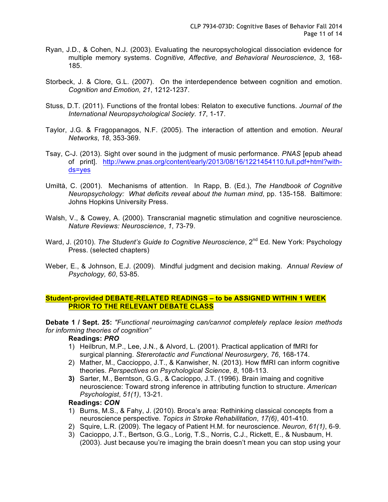- Ryan, J.D., & Cohen, N.J. (2003). Evaluating the neuropsychological dissociation evidence for multiple memory systems. *Cognitive, Affective, and Behavioral Neuroscience*, *3*, 168- 185.
- Storbeck, J. & Clore, G.L. (2007). On the interdependence between cognition and emotion. *Cognition and Emotion, 21*, 1212-1237.
- Stuss, D.T. (2011). Functions of the frontal lobes: Relaton to executive functions. *Journal of the International Neuropsychological Society*. *17*, 1-17.
- Taylor, J.G. & Fragopanagos, N.F. (2005). The interaction of attention and emotion. *Neural Networks*, *18*, 353-369.
- Tsay, C-J. (2013). Sight over sound in the judgment of music performance. *PNAS* [epub ahead of print]. http://www.pnas.org/content/early/2013/08/16/1221454110.full.pdf+html?withds=yes
- Umiltà, C. (2001). Mechanisms of attention. In Rapp, B. (Ed.), *The Handbook of Cognitive Neuropsychology: What deficits reveal about the human mind*, pp. 135-158. Baltimore: Johns Hopkins University Press.
- Walsh, V., & Cowey, A. (2000). Transcranial magnetic stimulation and cognitive neuroscience. *Nature Reviews: Neuroscience*, *1*, 73-79.
- Ward, J. (2010). *The Student's Guide to Cognitive Neuroscience*, 2<sup>nd</sup> Ed. New York: Psychology Press. (selected chapters)
- Weber, E., & Johnson, E.J. (2009). Mindful judgment and decision making. *Annual Review of Psychology, 60*, 53-85.

## **Student-provided DEBATE-RELATED READINGS – to be ASSIGNED WITHIN 1 WEEK PRIOR TO THE RELEVANT DEBATE CLASS**

**Debate 1 / Sept. 25:** *"Functional neuroimaging can/cannot completely replace lesion methods for informing theories of cognition"*

### **Readings:** *PRO*

- 1) Heilbrun, M.P., Lee, J.N., & Alvord, L. (2001). Practical application of fMRI for surgical planning. *Stererotactic and Functional Neurosurgery*, *76*, 168-174.
- 2) Mather, M., Caccioppo, J.T., & Kanwisher, N. (2013). How fMRI can inform cognitive theories. *Perspectives on Psychological Science*, *8*, 108-113.
- **3)** Sarter, M., Berntson, G.G., & Cacioppo, J.T. (1996). Brain imaing and cognitive neuroscience: Toward strong inference in attributing function to structure. *American Psychologist*, *51(1)*, 13-21.

#### **Readings:** *CON*

- 1) Burns, M.S., & Fahy, J. (2010). Broca's area: Rethinking classical concepts from a neuroscience perspective. *Topics in Stroke Rehabilitation*, *17(6)*, 401-410.
- 2) Squire, L.R. (2009). The legacy of Patient H.M. for neuroscience. *Neuron*, *61(1)*, 6-9.
- 3) Cacioppo, J.T., Bertson, G.G., Lorig, T.S., Norris, C.J., Rickett, E., & Nusbaum, H. (2003). Just because you're imaging the brain doesn't mean you can stop using your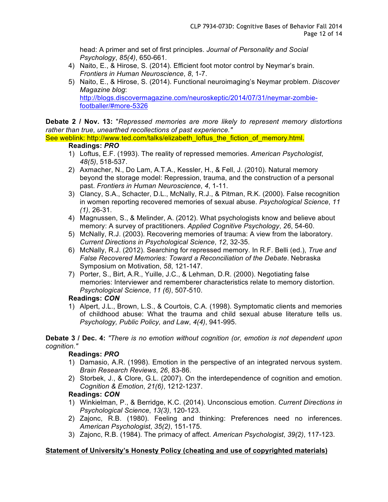head: A primer and set of first principles. *Journal of Personality and Social Psychology*, *85(4)*, 650-661.

- 4) Naito, E., & Hirose, S. (2014). Efficient foot motor control by Neymar's brain. *Frontiers in Human Neuroscience*, *8*, 1-7.
- 5) Naito, E., & Hirose, S. (2014). Functional neuroimaging's Neymar problem. *Discover Magazine blog*: http://blogs.discovermagazine.com/neuroskeptic/2014/07/31/neymar-zombiefootballer/#more-5326

**Debate 2 / Nov. 13:** "*Repressed memories are more likely to represent memory distortions rather than true, unearthed recollections of past experience."*

See weblink: http://www.ted.com/talks/elizabeth\_loftus\_the\_fiction\_of\_memory.html.

## **Readings:** *PRO*

- 1) Loftus, E.F. (1993). The reality of repressed memories. *American Psychologist*, *48(5)*, 518-537.
- 2) Axmacher, N., Do Lam, A.T.A., Kessler, H., & Fell, J. (2010). Natural memory beyond the storage model: Repression, trauma, and the construction of a personal past. *Frontiers in Human Neuroscience*, *4*, 1-11.
- 3) Clancy, S.A., Schacter, D.L., McNally, R.J., & Pitman, R.K. (2000). False recognition in women reporting recovered memories of sexual abuse. *Psychological Science*, *11 (1)*, 26-31.
- 4) Magnussen, S., & Melinder, A. (2012). What psychologists know and believe about memory: A survey of practitioners. *Applied Cognitive Psychology*, *26*, 54-60.
- 5) McNally, R.J. (2003). Recovering memories of trauma: A view from the laboratory. *Current Directions in Psychological Science*, *12*, 32-35.
- 6) McNally, R.J. (2012). Searching for repressed memory. In R.F. Belli (ed.), *True and False Recovered Memories: Toward a Reconciliation of the Debate*. Nebraska Symposium on Motivation, *58*, 121-147.
- 7) Porter, S., Birt, A.R., Yuille, J.C., & Lehman, D.R. (2000). Negotiating false memories: Interviewer and rememberer characteristics relate to memory distortion. *Psychological Science*, *11 (6)*, 507-510.

# **Readings:** *CON*

1) Alpert, J.L., Brown, L.S., & Courtois, C.A. (1998). Symptomatic clients and memories of childhood abuse: What the trauma and child sexual abuse literature tells us. *Psychology, Public Policy, and Law*, *4(4)*, 941-995.

**Debate 3 / Dec. 4:** *"There is no emotion without cognition (or, emotion is not dependent upon cognition."*

# **Readings:** *PRO*

- 1) Damasio, A.R. (1998). Emotion in the perspective of an integrated nervous system. *Brain Research Reviews*, *26*, 83-86.
- 2) Storbek, J., & Clore, G.L. (2007). On the interdependence of cognition and emotion. *Cognition & Emotion*, *21(6)*, 1212-1237.

# **Readings:** *CON*

- 1) Winkielman, P., & Berridge, K.C. (2014). Unconscious emotion. *Current Directions in Psychological Science*, *13(3)*, 120-123.
- 2) Zajonc, R.B. (1980). Feeling and thinking: Preferences need no inferences. *American Psychologist*, *35(2)*, 151-175.
- 3) Zajonc, R.B. (1984). The primacy of affect. *American Psychologist*, *39(2)*, 117-123.

# **Statement of University's Honesty Policy (cheating and use of copyrighted materials)**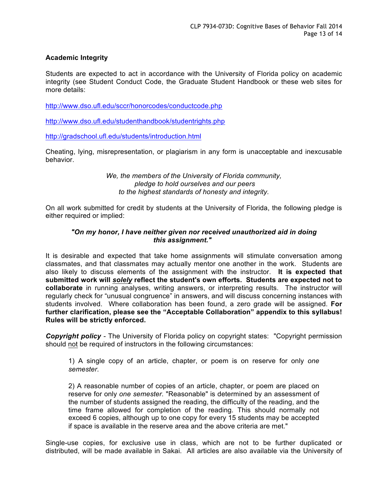## **Academic Integrity**

Students are expected to act in accordance with the University of Florida policy on academic integrity (see Student Conduct Code, the Graduate Student Handbook or these web sites for more details:

http://www.dso.ufl.edu/sccr/honorcodes/conductcode.php

http://www.dso.ufl.edu/studenthandbook/studentrights.php

http://gradschool.ufl.edu/students/introduction.html

Cheating, lying, misrepresentation, or plagiarism in any form is unacceptable and inexcusable behavior.

> *We, the members of the University of Florida community, pledge to hold ourselves and our peers to the highest standards of honesty and integrity.*

On all work submitted for credit by students at the University of Florida, the following pledge is either required or implied:

## *"On my honor, I have neither given nor received unauthorized aid in doing this assignment."*

It is desirable and expected that take home assignments will stimulate conversation among classmates, and that classmates may actually mentor one another in the work. Students are also likely to discuss elements of the assignment with the instructor. **It is expected that submitted work will** *solely* **reflect the student's own efforts. Students are expected not to collaborate** in running analyses, writing answers, or interpreting results. The instructor will regularly check for "unusual congruence" in answers, and will discuss concerning instances with students involved. Where collaboration has been found, a zero grade will be assigned. **For further clarification, please see the "Acceptable Collaboration" appendix to this syllabus! Rules will be strictly enforced.**

*Copyright policy -* The University of Florida policy on copyright states: "Copyright permission should not be required of instructors in the following circumstances:

1) A single copy of an article, chapter, or poem is on reserve for only *one semester*.

2) A reasonable number of copies of an article, chapter, or poem are placed on reserve for only *one semester*. "Reasonable" is determined by an assessment of the number of students assigned the reading, the difficulty of the reading, and the time frame allowed for completion of the reading. This should normally not exceed 6 copies, although up to one copy for every 15 students may be accepted if space is available in the reserve area and the above criteria are met."

Single-use copies, for exclusive use in class, which are not to be further duplicated or distributed, will be made available in Sakai. All articles are also available via the University of